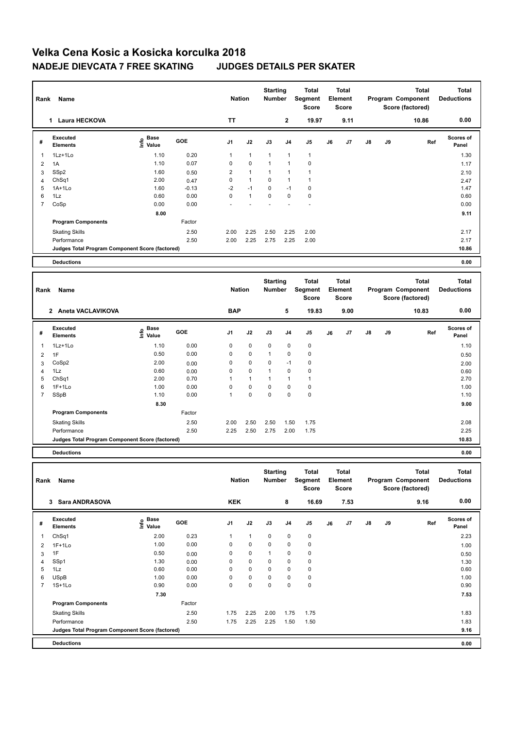## **Velka Cena Kosic a Kosicka korculka 2018 NADEJE DIEVCATA 7 FREE SKATING JUDGES DETAILS PER SKATER**

| Name<br>Rank   |                                                 |                                  |            |                | <b>Nation</b> |                 | <b>Starting</b><br><b>Number</b> | <b>Total</b><br>Segment<br><b>Score</b> | Total<br>Element<br><b>Score</b> |              |               |    | <b>Total</b><br>Program Component<br>Score (factored) | <b>Total</b><br><b>Deductions</b> |
|----------------|-------------------------------------------------|----------------------------------|------------|----------------|---------------|-----------------|----------------------------------|-----------------------------------------|----------------------------------|--------------|---------------|----|-------------------------------------------------------|-----------------------------------|
|                | <b>Laura HECKOVA</b><br>$\mathbf 1$             |                                  |            | <b>TT</b>      |               |                 | $\mathbf{2}$                     | 19.97                                   |                                  | 9.11         |               |    | 10.86                                                 | 0.00                              |
| #              | Executed<br><b>Elements</b>                     | <b>Base</b><br>e Base<br>⊆ Value | <b>GOE</b> | J <sub>1</sub> | J2            | J3              | J <sub>4</sub>                   | J5                                      | J6                               | J7           | $\mathsf{J}8$ | J9 | Ref                                                   | Scores of<br>Panel                |
|                | 1Lz+1Lo                                         | 1.10                             | 0.20       | $\mathbf{1}$   | $\mathbf{1}$  | $\mathbf{1}$    |                                  | $\mathbf{1}$                            |                                  |              |               |    |                                                       | 1.30                              |
| $\overline{2}$ | 1A                                              | 1.10                             | 0.07       | 0              | $\mathbf 0$   | $\mathbf{1}$    |                                  | 0                                       |                                  |              |               |    |                                                       | 1.17                              |
| 3              | SSp2                                            | 1.60                             | 0.50       | $\overline{2}$ | $\mathbf{1}$  | 1               |                                  |                                         |                                  |              |               |    |                                                       | 2.10                              |
| 4              | ChSq1                                           | 2.00                             | 0.47       | 0              | $\mathbf{1}$  | $\Omega$        |                                  |                                         |                                  |              |               |    |                                                       | 2.47                              |
| 5              | $1A+1Lo$                                        | 1.60                             | $-0.13$    | $-2$           | $-1$          | $\Omega$        | $-1$                             | $\mathbf 0$                             |                                  |              |               |    |                                                       | 1.47                              |
| 6              | 1Lz                                             | 0.60                             | 0.00       | $\mathbf 0$    | $\mathbf{1}$  | $\mathbf 0$     | $\mathbf 0$                      | $\mathbf 0$                             |                                  |              |               |    |                                                       | 0.60                              |
| $\overline{7}$ | CoSp                                            | 0.00                             | 0.00       |                |               |                 |                                  |                                         |                                  |              |               |    |                                                       | 0.00                              |
|                |                                                 | 8.00                             |            |                |               |                 |                                  |                                         |                                  |              |               |    |                                                       | 9.11                              |
|                | <b>Program Components</b>                       |                                  | Factor     |                |               |                 |                                  |                                         |                                  |              |               |    |                                                       |                                   |
|                | <b>Skating Skills</b>                           |                                  | 2.50       | 2.00           | 2.25          | 2.50            | 2.25                             | 2.00                                    |                                  |              |               |    |                                                       | 2.17                              |
|                | Performance                                     |                                  | 2.50       | 2.00           | 2.25          | 2.75            | 2.25                             | 2.00                                    |                                  |              |               |    |                                                       | 2.17                              |
|                | Judges Total Program Component Score (factored) |                                  |            |                |               |                 |                                  |                                         |                                  |              |               |    |                                                       | 10.86                             |
|                | <b>Deductions</b>                               |                                  |            |                |               |                 |                                  |                                         |                                  |              |               |    |                                                       | 0.00                              |
|                |                                                 |                                  |            |                |               | <b>Starting</b> |                                  | Total                                   |                                  | <b>Total</b> |               |    | <b>Total</b>                                          | <b>Total</b>                      |

| Rank | Name                                            |                           | <b>Nation</b> | <b>Jarung</b><br>Number |                | τυιαι<br>Segment<br>Score | τυιαι<br>Element<br><b>Score</b> |                |    |                | ινιαι<br>Program Component<br>Score (factored) | ινιαι<br><b>Deductions</b> |       |                           |  |
|------|-------------------------------------------------|---------------------------|---------------|-------------------------|----------------|---------------------------|----------------------------------|----------------|----|----------------|------------------------------------------------|----------------------------|-------|---------------------------|--|
|      | Aneta VACLAVIKOVA<br>$\mathbf{2}$               |                           |               | <b>BAP</b>              |                |                           | 5                                | 19.83          |    | 9.00           |                                                |                            | 10.83 | 0.00                      |  |
| #    | Executed<br><b>Elements</b>                     | Base<br>e Base<br>⊆ Value | <b>GOE</b>    | J <sub>1</sub>          | J2             | J3                        | J <sub>4</sub>                   | J <sub>5</sub> | J6 | J <sub>7</sub> | $\mathsf{J}8$                                  | J9                         | Ref   | <b>Scores of</b><br>Panel |  |
|      | 1Lz+1Lo                                         | 1.10                      | 0.00          | 0                       | $\mathbf 0$    | $\mathbf 0$               | 0                                | 0              |    |                |                                                |                            |       | 1.10                      |  |
| 2    | 1F                                              | 0.50                      | 0.00          | $\pmb{0}$               | $\pmb{0}$      |                           | 0                                | 0              |    |                |                                                |                            |       | 0.50                      |  |
| 3    | CoSp2                                           | 2.00                      | 0.00          | 0                       | $\pmb{0}$      | 0                         | $-1$                             | 0              |    |                |                                                |                            |       | 2.00                      |  |
| 4    | 1Lz                                             | 0.60                      | 0.00          | 0                       | $\pmb{0}$      |                           | 0                                | 0              |    |                |                                                |                            |       | 0.60                      |  |
| 5    | Ch <sub>Sq1</sub>                               | 2.00                      | 0.70          |                         | $\overline{1}$ |                           |                                  |                |    |                |                                                |                            |       | 2.70                      |  |
| 6    | $1F+1Lo$                                        | 1.00                      | 0.00          | 0                       | 0              | 0                         | 0                                | 0              |    |                |                                                |                            |       | 1.00                      |  |
|      | SSpB                                            | 1.10                      | 0.00          |                         | $\mathbf 0$    | $\mathbf 0$               | 0                                | $\mathbf 0$    |    |                |                                                |                            |       | 1.10                      |  |
|      |                                                 | 8.30                      |               |                         |                |                           |                                  |                |    |                |                                                |                            |       | 9.00                      |  |
|      | <b>Program Components</b>                       |                           | Factor        |                         |                |                           |                                  |                |    |                |                                                |                            |       |                           |  |
|      | <b>Skating Skills</b>                           |                           | 2.50          | 2.00                    | 2.50           | 2.50                      | 1.50                             | 1.75           |    |                |                                                |                            |       | 2.08                      |  |
|      | Performance                                     |                           | 2.50          | 2.25                    | 2.50           | 2.75                      | 2.00                             | 1.75           |    |                |                                                |                            |       | 2.25                      |  |
|      | Judges Total Program Component Score (factored) |                           |               |                         |                |                           |                                  |                |    |                |                                                |                            |       | 10.83                     |  |
|      |                                                 |                           |               |                         |                |                           |                                  |                |    |                |                                                |                            |       |                           |  |

**Deductions 0.00**

| Name<br>Rank   |                                                 |                                  |            |                | <b>Nation</b> |             | <b>Starting</b><br><b>Number</b> | <b>Total</b><br>Segment<br>Score | <b>Total</b><br>Element<br>Score |      |               |    | <b>Total</b><br>Program Component<br>Score (factored) | <b>Total</b><br><b>Deductions</b> |
|----------------|-------------------------------------------------|----------------------------------|------------|----------------|---------------|-------------|----------------------------------|----------------------------------|----------------------------------|------|---------------|----|-------------------------------------------------------|-----------------------------------|
|                | <b>Sara ANDRASOVA</b><br>3                      |                                  |            | <b>KEK</b>     |               |             | 8                                | 16.69                            |                                  | 7.53 |               |    | 9.16                                                  | 0.00                              |
| #              | Executed<br><b>Elements</b>                     | <b>Base</b><br>e Base<br>⊆ Value | <b>GOE</b> | J <sub>1</sub> | J2            | J3          | J <sub>4</sub>                   | J <sub>5</sub>                   | J6                               | J7   | $\mathsf{J}8$ | J9 | Ref                                                   | Scores of<br>Panel                |
| 1              | Ch <sub>Sq1</sub>                               | 2.00                             | 0.23       | 1              | 1             | $\mathbf 0$ | $\mathbf 0$                      | 0                                |                                  |      |               |    |                                                       | 2.23                              |
| $\overline{2}$ | $1F+1Lo$                                        | 1.00                             | 0.00       | 0              | $\mathbf 0$   | $\mathbf 0$ | $\mathbf 0$                      | $\pmb{0}$                        |                                  |      |               |    |                                                       | 1.00                              |
| 3              | 1F                                              | 0.50                             | 0.00       | 0              | $\pmb{0}$     | 1           | 0                                | 0                                |                                  |      |               |    |                                                       | 0.50                              |
| $\overline{4}$ | SSp1                                            | 1.30                             | 0.00       | 0              | $\mathbf 0$   | 0           | $\mathbf 0$                      | $\pmb{0}$                        |                                  |      |               |    |                                                       | 1.30                              |
| 5              | 1Lz                                             | 0.60                             | 0.00       | $\Omega$       | $\mathbf 0$   | 0           | $\mathbf 0$                      | $\mathbf 0$                      |                                  |      |               |    |                                                       | 0.60                              |
| 6              | <b>USpB</b>                                     | 1.00                             | 0.00       | 0              | $\mathbf 0$   | $\mathbf 0$ | $\mathbf 0$                      | $\pmb{0}$                        |                                  |      |               |    |                                                       | 1.00                              |
| $\overline{7}$ | $1S+1Lo$                                        | 0.90                             | 0.00       | 0              | 0             | 0           | $\mathbf 0$                      | 0                                |                                  |      |               |    |                                                       | 0.90                              |
|                |                                                 | 7.30                             |            |                |               |             |                                  |                                  |                                  |      |               |    |                                                       | 7.53                              |
|                | <b>Program Components</b>                       |                                  | Factor     |                |               |             |                                  |                                  |                                  |      |               |    |                                                       |                                   |
|                | <b>Skating Skills</b>                           |                                  | 2.50       | 1.75           | 2.25          | 2.00        | 1.75                             | 1.75                             |                                  |      |               |    |                                                       | 1.83                              |
|                | Performance                                     |                                  | 2.50       | 1.75           | 2.25          | 2.25        | 1.50                             | 1.50                             |                                  |      |               |    |                                                       | 1.83                              |
|                | Judges Total Program Component Score (factored) |                                  |            |                |               |             |                                  |                                  |                                  |      |               |    |                                                       | 9.16                              |
|                | <b>Deductions</b>                               |                                  |            |                |               |             |                                  |                                  |                                  |      |               |    |                                                       | 0.00                              |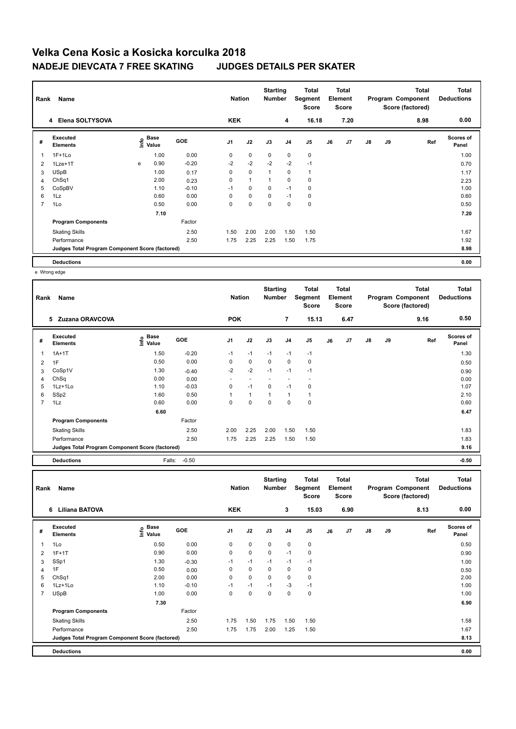## **Velka Cena Kosic a Kosicka korculka 2018 NADEJE DIEVCATA 7 FREE SKATING JUDGES DETAILS PER SKATER**

| Rank<br>Name   |                                                 |   |                           |            |                | <b>Nation</b> |             | <b>Starting</b><br><b>Number</b> | Total<br>Segment<br><b>Score</b> | Total<br>Element<br><b>Score</b> |      |               |    | Total<br>Program Component<br>Score (factored) | Total<br><b>Deductions</b> |  |
|----------------|-------------------------------------------------|---|---------------------------|------------|----------------|---------------|-------------|----------------------------------|----------------------------------|----------------------------------|------|---------------|----|------------------------------------------------|----------------------------|--|
|                | 4 Elena SOLTYSOVA                               |   |                           |            | <b>KEK</b>     |               |             | 4                                | 16.18                            |                                  | 7.20 |               |    | 8.98                                           | 0.00                       |  |
| #              | Executed<br><b>Elements</b>                     |   | Base<br>e Base<br>⊆ Value | <b>GOE</b> | J <sub>1</sub> | J2            | J3          | J <sub>4</sub>                   | J5                               | J6                               | J7   | $\mathsf{J}8$ | J9 | Ref                                            | <b>Scores of</b><br>Panel  |  |
| 1              | $1F+1Lo$                                        |   | 1.00                      | 0.00       | 0              | $\mathbf 0$   | 0           | $\mathbf 0$                      | 0                                |                                  |      |               |    |                                                | 1.00                       |  |
| 2              | 1Lze+1T                                         | e | 0.90                      | $-0.20$    | $-2$           | $-2$          | $-2$        | $-2$                             | $-1$                             |                                  |      |               |    |                                                | 0.70                       |  |
| 3              | <b>USpB</b>                                     |   | 1.00                      | 0.17       | 0              | $\pmb{0}$     | 1           | 0                                | 1                                |                                  |      |               |    |                                                | 1.17                       |  |
| 4              | ChSq1                                           |   | 2.00                      | 0.23       | 0              | $\mathbf{1}$  |             | $\mathbf 0$                      | 0                                |                                  |      |               |    |                                                | 2.23                       |  |
| 5              | CoSpBV                                          |   | 1.10                      | $-0.10$    | $-1$           | $\mathbf 0$   | $\mathbf 0$ | $-1$                             | 0                                |                                  |      |               |    |                                                | 1.00                       |  |
| 6              | 1Lz                                             |   | 0.60                      | 0.00       | 0              | $\pmb{0}$     | 0           | $-1$                             | 0                                |                                  |      |               |    |                                                | 0.60                       |  |
| $\overline{7}$ | 1Lo                                             |   | 0.50                      | 0.00       | 0              | 0             | 0           | 0                                | 0                                |                                  |      |               |    |                                                | 0.50                       |  |
|                |                                                 |   | 7.10                      |            |                |               |             |                                  |                                  |                                  |      |               |    |                                                | 7.20                       |  |
|                | <b>Program Components</b>                       |   |                           | Factor     |                |               |             |                                  |                                  |                                  |      |               |    |                                                |                            |  |
|                | <b>Skating Skills</b>                           |   |                           | 2.50       | 1.50           | 2.00          | 2.00        | 1.50                             | 1.50                             |                                  |      |               |    |                                                | 1.67                       |  |
|                | Performance                                     |   |                           | 2.50       | 1.75           | 2.25          | 2.25        | 1.50                             | 1.75                             |                                  |      |               |    |                                                | 1.92                       |  |
|                | Judges Total Program Component Score (factored) |   |                           |            |                |               |             |                                  |                                  |                                  |      |               |    |                                                | 8.98                       |  |
|                | <b>Deductions</b>                               |   |                           |            |                |               |             |                                  |                                  |                                  |      |               |    |                                                | 0.00                       |  |

e Wrong edge

| Rank           | Name                                            |                       |         | <b>Nation</b>  |              | <b>Starting</b><br><b>Number</b> |                | Total<br>Segment<br><b>Score</b> |    | <b>Total</b><br>Element<br><b>Score</b> |               |    | <b>Total</b><br>Program Component<br>Score (factored) | <b>Total</b><br><b>Deductions</b> |
|----------------|-------------------------------------------------|-----------------------|---------|----------------|--------------|----------------------------------|----------------|----------------------------------|----|-----------------------------------------|---------------|----|-------------------------------------------------------|-----------------------------------|
|                | Zuzana ORAVCOVA<br>5                            |                       |         | <b>POK</b>     |              |                                  | $\overline{7}$ | 15.13                            |    | 6.47                                    |               |    | 9.16                                                  | 0.50                              |
| #              | Executed<br><b>Elements</b>                     | $\sum_{i=1}^{n}$ Base | GOE     | J <sub>1</sub> | J2           | J3                               | J <sub>4</sub> | J <sub>5</sub>                   | J6 | J7                                      | $\mathsf{J}8$ | J9 | Ref                                                   | <b>Scores of</b><br>Panel         |
| 1              | $1A+1T$                                         | 1.50                  | $-0.20$ | $-1$           | $-1$         | $-1$                             | $-1$           | $-1$                             |    |                                         |               |    |                                                       | 1.30                              |
| 2              | 1F                                              | 0.50                  | 0.00    | 0              | $\mathbf 0$  | $\mathbf 0$                      | 0              | 0                                |    |                                         |               |    |                                                       | 0.50                              |
| 3              | CoSp1V                                          | 1.30                  | $-0.40$ | $-2$           | $-2$         | $-1$                             | $-1$           | $-1$                             |    |                                         |               |    |                                                       | 0.90                              |
| 4              | ChSq                                            | 0.00                  | 0.00    |                |              |                                  | $\overline{a}$ |                                  |    |                                         |               |    |                                                       | 0.00                              |
| 5              | 1Lz+1Lo                                         | 1.10                  | $-0.03$ | 0              | $-1$         | $\mathbf 0$                      | $-1$           | 0                                |    |                                         |               |    |                                                       | 1.07                              |
| 6              | SSp2                                            | 1.60                  | 0.50    |                | $\mathbf{1}$ | $\mathbf{1}$                     | $\mathbf{1}$   | 1                                |    |                                         |               |    |                                                       | 2.10                              |
| $\overline{7}$ | 1Lz                                             | 0.60                  | 0.00    | 0              | $\mathbf 0$  | $\mathbf 0$                      | $\mathbf 0$    | $\mathbf 0$                      |    |                                         |               |    |                                                       | 0.60                              |
|                |                                                 | 6.60                  |         |                |              |                                  |                |                                  |    |                                         |               |    |                                                       | 6.47                              |
|                | <b>Program Components</b>                       |                       | Factor  |                |              |                                  |                |                                  |    |                                         |               |    |                                                       |                                   |
|                | <b>Skating Skills</b>                           |                       | 2.50    | 2.00           | 2.25         | 2.00                             | 1.50           | 1.50                             |    |                                         |               |    |                                                       | 1.83                              |
|                | Performance                                     |                       | 2.50    | 1.75           | 2.25         | 2.25                             | 1.50           | 1.50                             |    |                                         |               |    |                                                       | 1.83                              |
|                | Judges Total Program Component Score (factored) |                       |         |                |              |                                  |                |                                  |    |                                         |               |    |                                                       | 9.16                              |
|                | <b>Deductions</b>                               | Falls:                | $-0.50$ |                |              |                                  |                |                                  |    |                                         |               |    |                                                       | $-0.50$                           |

| Name<br>Rank   |                                                 |                              |            |            | <b>Nation</b> |             | <b>Starting</b><br><b>Number</b> | Total<br>Segment<br><b>Score</b> | <b>Total</b><br>Element<br><b>Score</b> |      |               |    | <b>Total</b><br>Program Component<br>Score (factored) | <b>Total</b><br><b>Deductions</b> |
|----------------|-------------------------------------------------|------------------------------|------------|------------|---------------|-------------|----------------------------------|----------------------------------|-----------------------------------------|------|---------------|----|-------------------------------------------------------|-----------------------------------|
|                | <b>Liliana BATOVA</b><br>6                      |                              |            | <b>KEK</b> |               |             | 3                                | 15.03                            |                                         | 6.90 |               |    | 8.13                                                  | 0.00                              |
| #              | Executed<br><b>Elements</b>                     | <b>Base</b><br>١nf٥<br>Value | <b>GOE</b> | J1         | J2            | J3          | J <sub>4</sub>                   | J5                               | J6                                      | J7   | $\mathsf{J}8$ | J9 | Ref                                                   | <b>Scores of</b><br>Panel         |
|                | 1Lo                                             | 0.50                         | 0.00       | 0          | $\mathbf 0$   | $\mathbf 0$ | $\mathbf 0$                      | $\mathbf 0$                      |                                         |      |               |    |                                                       | 0.50                              |
| 2              | $1F+1T$                                         | 0.90                         | 0.00       | 0          | 0             | $\mathbf 0$ | $-1$                             | 0                                |                                         |      |               |    |                                                       | 0.90                              |
| 3              | SSp1                                            | 1.30                         | $-0.30$    | $-1$       | $-1$          | $-1$        | $-1$                             | $-1$                             |                                         |      |               |    |                                                       | 1.00                              |
| $\overline{4}$ | 1F                                              | 0.50                         | 0.00       | 0          | $\mathbf 0$   | $\Omega$    | 0                                | 0                                |                                         |      |               |    |                                                       | 0.50                              |
| 5              | ChSq1                                           | 2.00                         | 0.00       | 0          | $\mathbf 0$   | $\Omega$    | 0                                | $\pmb{0}$                        |                                         |      |               |    |                                                       | 2.00                              |
| 6              | $1Lz+1Lo$                                       | 1.10                         | $-0.10$    | $-1$       | $-1$          | $-1$        | $-3$                             | $-1$                             |                                         |      |               |    |                                                       | 1.00                              |
| $\overline{7}$ | <b>USpB</b>                                     | 1.00                         | 0.00       | $\Omega$   | $\mathbf 0$   | $\Omega$    | $\Omega$                         | $\mathbf 0$                      |                                         |      |               |    |                                                       | 1.00                              |
|                |                                                 | 7.30                         |            |            |               |             |                                  |                                  |                                         |      |               |    |                                                       | 6.90                              |
|                | <b>Program Components</b>                       |                              | Factor     |            |               |             |                                  |                                  |                                         |      |               |    |                                                       |                                   |
|                | <b>Skating Skills</b>                           |                              | 2.50       | 1.75       | 1.50          | 1.75        | 1.50                             | 1.50                             |                                         |      |               |    |                                                       | 1.58                              |
|                | Performance                                     |                              | 2.50       | 1.75       | 1.75          | 2.00        | 1.25                             | 1.50                             |                                         |      |               |    |                                                       | 1.67                              |
|                | Judges Total Program Component Score (factored) |                              |            |            |               |             |                                  |                                  |                                         |      |               |    |                                                       | 8.13                              |
|                | <b>Deductions</b>                               |                              |            |            |               |             |                                  |                                  |                                         |      |               |    |                                                       | 0.00                              |